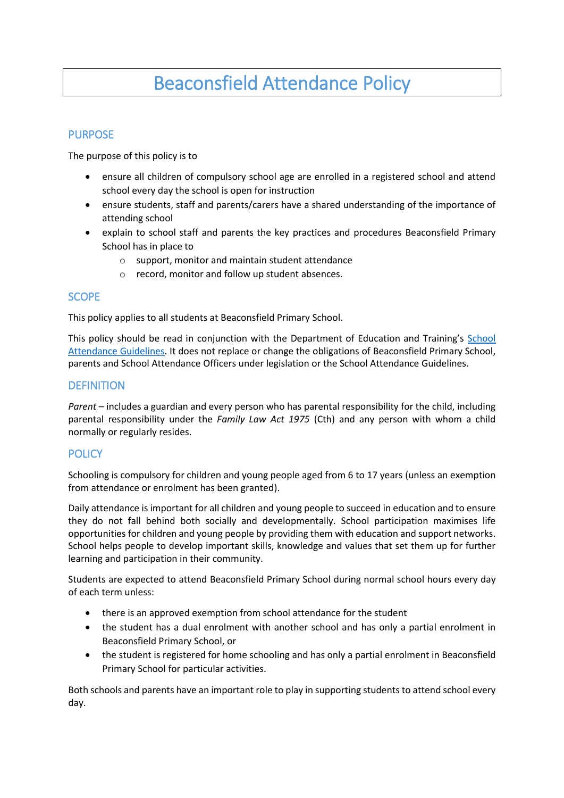# Beaconsfield Attendance Policy

# **PURPOSE**

The purpose of this policy is to

- ensure all children of compulsory school age are enrolled in a registered school and attend school every day the school is open for instruction
- ensure students, staff and parents/carers have a shared understanding of the importance of attending school
- explain to school staff and parents the key practices and procedures Beaconsfield Primary School has in place to
	- o support, monitor and maintain student attendance
	- o record, monitor and follow up student absences.

## SCOPE

This policy applies to all students at Beaconsfield Primary School.

This policy should be read in conjunction with the Department of Education and Training's [School](http://www.education.vic.gov.au/school/teachers/studentmanagement/Pages/attendance.aspx)  [Attendance Guidelines.](http://www.education.vic.gov.au/school/teachers/studentmanagement/Pages/attendance.aspx) It does not replace or change the obligations of Beaconsfield Primary School, parents and School Attendance Officers under legislation or the School Attendance Guidelines.

# **DEFINITION**

*Parent* – includes a guardian and every person who has parental responsibility for the child, including parental responsibility under the *Family Law Act 1975* (Cth) and any person with whom a child normally or regularly resides.

# **POLICY**

Schooling is compulsory for children and young people aged from 6 to 17 years (unless an exemption from attendance or enrolment has been granted).

Daily attendance is important for all children and young people to succeed in education and to ensure they do not fall behind both socially and developmentally. School participation maximises life opportunities for children and young people by providing them with education and support networks. School helps people to develop important skills, knowledge and values that set them up for further learning and participation in their community.

Students are expected to attend Beaconsfield Primary School during normal school hours every day of each term unless:

- there is an approved exemption from school attendance for the student
- the student has a dual enrolment with another school and has only a partial enrolment in Beaconsfield Primary School, or
- the student is registered for home schooling and has only a partial enrolment in Beaconsfield Primary School for particular activities.

Both schools and parents have an important role to play in supporting students to attend school every day.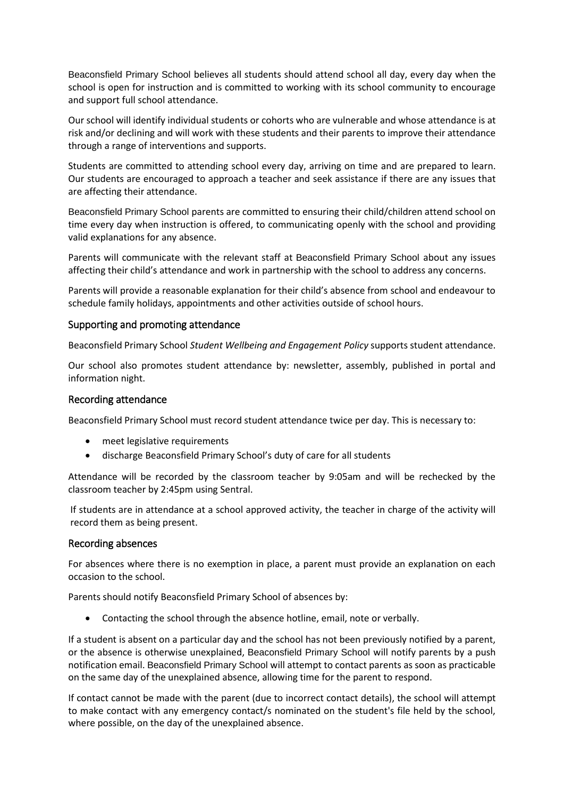Beaconsfield Primary School believes all students should attend school all day, every day when the school is open for instruction and is committed to working with its school community to encourage and support full school attendance.

Our school will identify individual students or cohorts who are vulnerable and whose attendance is at risk and/or declining and will work with these students and their parents to improve their attendance through a range of interventions and supports.

Students are committed to attending school every day, arriving on time and are prepared to learn. Our students are encouraged to approach a teacher and seek assistance if there are any issues that are affecting their attendance.

Beaconsfield Primary School parents are committed to ensuring their child/children attend school on time every day when instruction is offered, to communicating openly with the school and providing valid explanations for any absence.

Parents will communicate with the relevant staff at Beaconsfield Primary School about any issues affecting their child's attendance and work in partnership with the school to address any concerns.

Parents will provide a reasonable explanation for their child's absence from school and endeavour to schedule family holidays, appointments and other activities outside of school hours.

#### Supporting and promoting attendance

Beaconsfield Primary School *Student Wellbeing and Engagement Policy* supports student attendance.

Our school also promotes student attendance by: newsletter, assembly, published in portal and information night.

#### Recording attendance

Beaconsfield Primary School must record student attendance twice per day. This is necessary to:

- meet legislative requirements
- discharge Beaconsfield Primary School's duty of care for all students

Attendance will be recorded by the classroom teacher by 9:05am and will be rechecked by the classroom teacher by 2:45pm using Sentral.

If students are in attendance at a school approved activity, the teacher in charge of the activity will record them as being present.

#### Recording absences

For absences where there is no exemption in place, a parent must provide an explanation on each occasion to the school.

Parents should notify Beaconsfield Primary School of absences by:

Contacting the school through the absence hotline, email, note or verbally.

If a student is absent on a particular day and the school has not been previously notified by a parent, or the absence is otherwise unexplained, Beaconsfield Primary School will notify parents by a push notification email. Beaconsfield Primary School will attempt to contact parents as soon as practicable on the same day of the unexplained absence, allowing time for the parent to respond.

If contact cannot be made with the parent (due to incorrect contact details), the school will attempt to make contact with any emergency contact/s nominated on the student's file held by the school, where possible, on the day of the unexplained absence.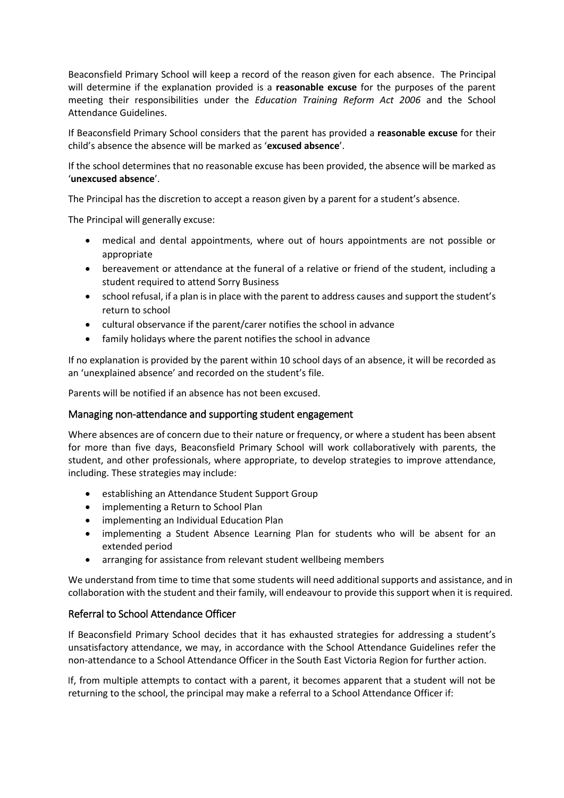Beaconsfield Primary School will keep a record of the reason given for each absence. The Principal will determine if the explanation provided is a **reasonable excuse** for the purposes of the parent meeting their responsibilities under the *Education Training Reform Act 2006* and the School Attendance Guidelines.

If Beaconsfield Primary School considers that the parent has provided a **reasonable excuse** for their child's absence the absence will be marked as '**excused absence**'.

If the school determines that no reasonable excuse has been provided, the absence will be marked as '**unexcused absence**'.

The Principal has the discretion to accept a reason given by a parent for a student's absence.

The Principal will generally excuse:

- medical and dental appointments, where out of hours appointments are not possible or appropriate
- bereavement or attendance at the funeral of a relative or friend of the student, including a student required to attend Sorry Business
- school refusal, if a plan is in place with the parent to address causes and support the student's return to school
- cultural observance if the parent/carer notifies the school in advance
- family holidays where the parent notifies the school in advance

If no explanation is provided by the parent within 10 school days of an absence, it will be recorded as an 'unexplained absence' and recorded on the student's file.

Parents will be notified if an absence has not been excused.

#### Managing non-attendance and supporting student engagement

Where absences are of concern due to their nature or frequency, or where a student has been absent for more than five days, Beaconsfield Primary School will work collaboratively with parents, the student, and other professionals, where appropriate, to develop strategies to improve attendance, including. These strategies may include:

- establishing an Attendance Student Support Group
- implementing a Return to School Plan
- implementing an Individual Education Plan
- implementing a Student Absence Learning Plan for students who will be absent for an extended period
- arranging for assistance from relevant student wellbeing members

We understand from time to time that some students will need additional supports and assistance, and in collaboration with the student and their family, will endeavour to provide this support when it is required.

### Referral to School Attendance Officer

If Beaconsfield Primary School decides that it has exhausted strategies for addressing a student's unsatisfactory attendance, we may, in accordance with the School Attendance Guidelines refer the non-attendance to a School Attendance Officer in the South East Victoria Region for further action.

If, from multiple attempts to contact with a parent, it becomes apparent that a student will not be returning to the school, the principal may make a referral to a School Attendance Officer if: